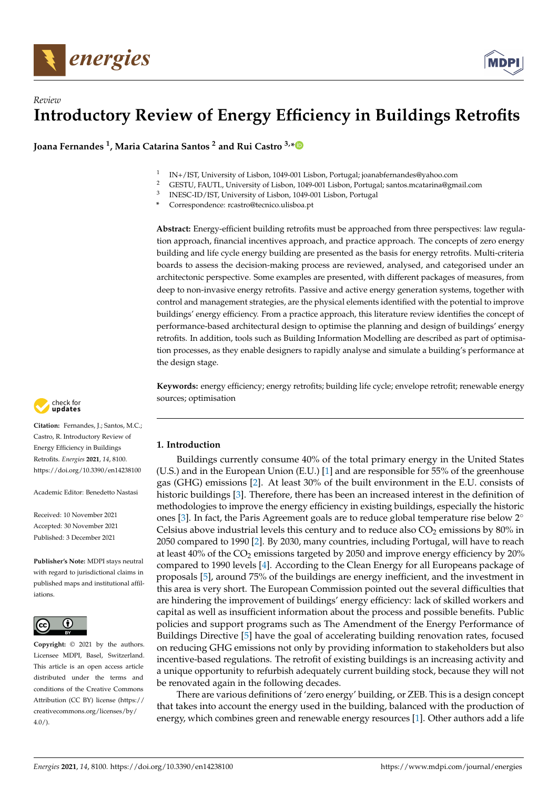

# *Review* **Introductory Review of Energy Efficiency in Buildings Retrofits**

**Joana Fernandes <sup>1</sup> , Maria Catarina Santos <sup>2</sup> and Rui Castro 3,[\\*](https://orcid.org/0000-0002-3108-8880)**

- 1 IN+/IST, University of Lisbon, 1049-001 Lisbon, Portugal; joanabfernandes@yahoo.com
- <sup>2</sup> GESTU, FAUTL, University of Lisbon, 1049-001 Lisbon, Portugal; santos.mcatarina@gmail.com
- 3 INESC-ID/IST, University of Lisbon, 1049-001 Lisbon, Portugal
- **\*** Correspondence: rcastro@tecnico.ulisboa.pt

**Abstract:** Energy-efficient building retrofits must be approached from three perspectives: law regulation approach, financial incentives approach, and practice approach. The concepts of zero energy building and life cycle energy building are presented as the basis for energy retrofits. Multi-criteria boards to assess the decision-making process are reviewed, analysed, and categorised under an architectonic perspective. Some examples are presented, with different packages of measures, from deep to non-invasive energy retrofits. Passive and active energy generation systems, together with control and management strategies, are the physical elements identified with the potential to improve buildings' energy efficiency. From a practice approach, this literature review identifies the concept of performance-based architectural design to optimise the planning and design of buildings' energy retrofits. In addition, tools such as Building Information Modelling are described as part of optimisation processes, as they enable designers to rapidly analyse and simulate a building's performance at the design stage.

**Keywords:** energy efficiency; energy retrofits; building life cycle; envelope retrofit; renewable energy sources; optimisation

# **1. Introduction**

Buildings currently consume 40% of the total primary energy in the United States (U.S.) and in the European Union (E.U.) [\[1\]](#page-14-0) and are responsible for 55% of the greenhouse gas (GHG) emissions [\[2\]](#page-14-1). At least 30% of the built environment in the E.U. consists of historic buildings [\[3\]](#page-14-2). Therefore, there has been an increased interest in the definition of methodologies to improve the energy efficiency in existing buildings, especially the historic ones [\[3\]](#page-14-2). In fact, the Paris Agreement goals are to reduce global temperature rise below 2◦ Celsius above industrial levels this century and to reduce also  $CO<sub>2</sub>$  emissions by 80% in 2050 compared to 1990 [\[2\]](#page-14-1). By 2030, many countries, including Portugal, will have to reach at least  $40\%$  of the CO<sub>2</sub> emissions targeted by 2050 and improve energy efficiency by 20% compared to 1990 levels [\[4\]](#page-14-3). According to the Clean Energy for all Europeans package of proposals [\[5\]](#page-15-0), around 75% of the buildings are energy inefficient, and the investment in this area is very short. The European Commission pointed out the several difficulties that are hindering the improvement of buildings' energy efficiency: lack of skilled workers and capital as well as insufficient information about the process and possible benefits. Public policies and support programs such as The Amendment of the Energy Performance of Buildings Directive [\[5\]](#page-15-0) have the goal of accelerating building renovation rates, focused on reducing GHG emissions not only by providing information to stakeholders but also incentive-based regulations. The retrofit of existing buildings is an increasing activity and a unique opportunity to refurbish adequately current building stock, because they will not be renovated again in the following decades.

There are various definitions of 'zero energy' building, or ZEB. This is a design concept that takes into account the energy used in the building, balanced with the production of energy, which combines green and renewable energy resources [\[1\]](#page-14-0). Other authors add a life



**Citation:** Fernandes, J.; Santos, M.C.; Castro, R. Introductory Review of Energy Efficiency in Buildings Retrofits. *Energies* **2021**, *14*, 8100. <https://doi.org/10.3390/en14238100>

Academic Editor: Benedetto Nastasi

Received: 10 November 2021 Accepted: 30 November 2021 Published: 3 December 2021

**Publisher's Note:** MDPI stays neutral with regard to jurisdictional claims in published maps and institutional affiliations.



**Copyright:** © 2021 by the authors. Licensee MDPI, Basel, Switzerland. This article is an open access article distributed under the terms and conditions of the Creative Commons Attribution (CC BY) license (https:/[/](https://creativecommons.org/licenses/by/4.0/) [creativecommons.org/licenses/by/](https://creativecommons.org/licenses/by/4.0/)  $4.0/$ ).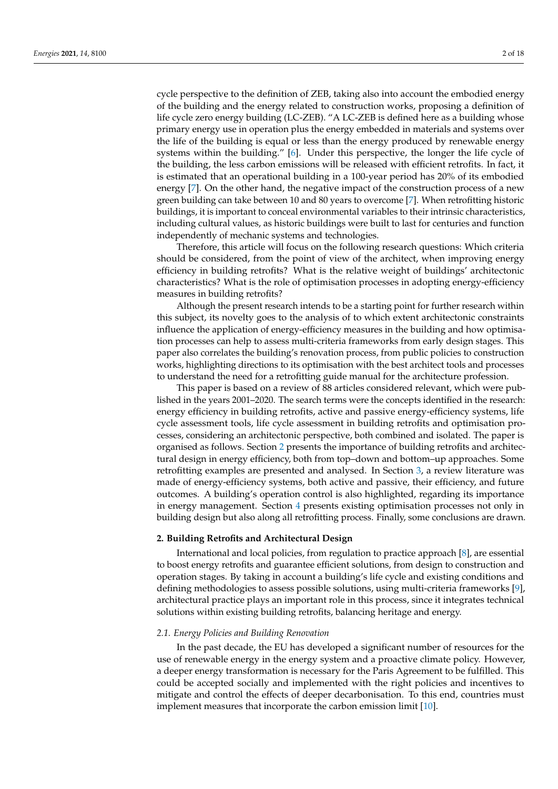cycle perspective to the definition of ZEB, taking also into account the embodied energy of the building and the energy related to construction works, proposing a definition of life cycle zero energy building (LC-ZEB). "A LC-ZEB is defined here as a building whose primary energy use in operation plus the energy embedded in materials and systems over the life of the building is equal or less than the energy produced by renewable energy systems within the building." [\[6\]](#page-15-1). Under this perspective, the longer the life cycle of the building, the less carbon emissions will be released with efficient retrofits. In fact, it is estimated that an operational building in a 100-year period has 20% of its embodied energy [\[7\]](#page-15-2). On the other hand, the negative impact of the construction process of a new green building can take between 10 and 80 years to overcome [\[7\]](#page-15-2). When retrofitting historic buildings, it is important to conceal environmental variables to their intrinsic characteristics, including cultural values, as historic buildings were built to last for centuries and function independently of mechanic systems and technologies.

Therefore, this article will focus on the following research questions: Which criteria should be considered, from the point of view of the architect, when improving energy efficiency in building retrofits? What is the relative weight of buildings' architectonic characteristics? What is the role of optimisation processes in adopting energy-efficiency measures in building retrofits?

Although the present research intends to be a starting point for further research within this subject, its novelty goes to the analysis of to which extent architectonic constraints influence the application of energy-efficiency measures in the building and how optimisation processes can help to assess multi-criteria frameworks from early design stages. This paper also correlates the building's renovation process, from public policies to construction works, highlighting directions to its optimisation with the best architect tools and processes to understand the need for a retrofitting guide manual for the architecture profession.

This paper is based on a review of 88 articles considered relevant, which were published in the years 2001–2020. The search terms were the concepts identified in the research: energy efficiency in building retrofits, active and passive energy-efficiency systems, life cycle assessment tools, life cycle assessment in building retrofits and optimisation processes, considering an architectonic perspective, both combined and isolated. The paper is organised as follows. Section [2](#page-1-0) presents the importance of building retrofits and architectural design in energy efficiency, both from top–down and bottom–up approaches. Some retrofitting examples are presented and analysed. In Section [3,](#page-7-0) a review literature was made of energy-efficiency systems, both active and passive, their efficiency, and future outcomes. A building's operation control is also highlighted, regarding its importance in energy management. Section [4](#page-10-0) presents existing optimisation processes not only in building design but also along all retrofitting process. Finally, some conclusions are drawn.

# <span id="page-1-0"></span>**2. Building Retrofits and Architectural Design**

International and local policies, from regulation to practice approach [\[8\]](#page-15-3), are essential to boost energy retrofits and guarantee efficient solutions, from design to construction and operation stages. By taking in account a building's life cycle and existing conditions and defining methodologies to assess possible solutions, using multi-criteria frameworks [\[9\]](#page-15-4), architectural practice plays an important role in this process, since it integrates technical solutions within existing building retrofits, balancing heritage and energy.

## *2.1. Energy Policies and Building Renovation*

In the past decade, the EU has developed a significant number of resources for the use of renewable energy in the energy system and a proactive climate policy. However, a deeper energy transformation is necessary for the Paris Agreement to be fulfilled. This could be accepted socially and implemented with the right policies and incentives to mitigate and control the effects of deeper decarbonisation. To this end, countries must implement measures that incorporate the carbon emission limit [\[10\]](#page-15-5).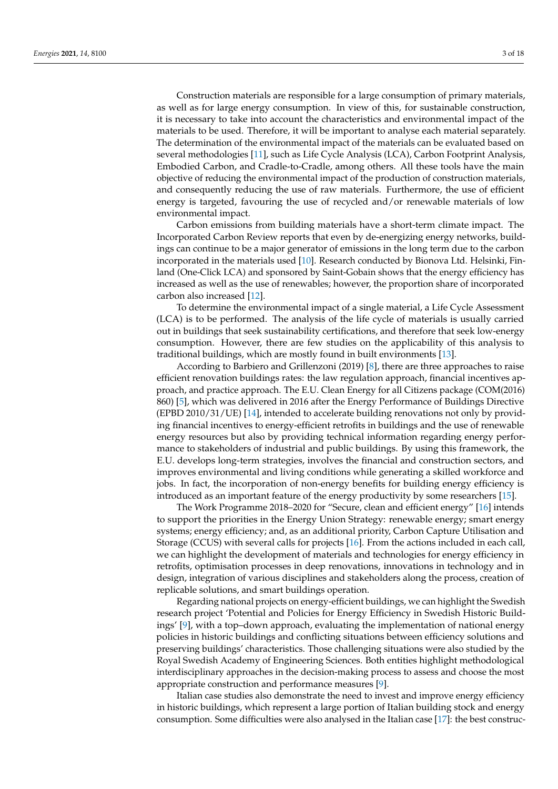Construction materials are responsible for a large consumption of primary materials, as well as for large energy consumption. In view of this, for sustainable construction, it is necessary to take into account the characteristics and environmental impact of the materials to be used. Therefore, it will be important to analyse each material separately. The determination of the environmental impact of the materials can be evaluated based on several methodologies [\[11\]](#page-15-6), such as Life Cycle Analysis (LCA), Carbon Footprint Analysis, Embodied Carbon, and Cradle-to-Cradle, among others. All these tools have the main objective of reducing the environmental impact of the production of construction materials, and consequently reducing the use of raw materials. Furthermore, the use of efficient energy is targeted, favouring the use of recycled and/or renewable materials of low environmental impact.

Carbon emissions from building materials have a short-term climate impact. The Incorporated Carbon Review reports that even by de-energizing energy networks, buildings can continue to be a major generator of emissions in the long term due to the carbon incorporated in the materials used [\[10\]](#page-15-5). Research conducted by Bionova Ltd. Helsinki, Finland (One-Click LCA) and sponsored by Saint-Gobain shows that the energy efficiency has increased as well as the use of renewables; however, the proportion share of incorporated carbon also increased [\[12\]](#page-15-7).

To determine the environmental impact of a single material, a Life Cycle Assessment (LCA) is to be performed. The analysis of the life cycle of materials is usually carried out in buildings that seek sustainability certifications, and therefore that seek low-energy consumption. However, there are few studies on the applicability of this analysis to traditional buildings, which are mostly found in built environments [\[13\]](#page-15-8).

According to Barbiero and Grillenzoni (2019) [\[8\]](#page-15-3), there are three approaches to raise efficient renovation buildings rates: the law regulation approach, financial incentives approach, and practice approach. The E.U. Clean Energy for all Citizens package (COM(2016) 860) [\[5\]](#page-15-0), which was delivered in 2016 after the Energy Performance of Buildings Directive (EPBD 2010/31/UE) [\[14\]](#page-15-9), intended to accelerate building renovations not only by providing financial incentives to energy-efficient retrofits in buildings and the use of renewable energy resources but also by providing technical information regarding energy performance to stakeholders of industrial and public buildings. By using this framework, the E.U. develops long-term strategies, involves the financial and construction sectors, and improves environmental and living conditions while generating a skilled workforce and jobs. In fact, the incorporation of non-energy benefits for building energy efficiency is introduced as an important feature of the energy productivity by some researchers [\[15\]](#page-15-10).

The Work Programme 2018–2020 for "Secure, clean and efficient energy" [\[16\]](#page-15-11) intends to support the priorities in the Energy Union Strategy: renewable energy; smart energy systems; energy efficiency; and, as an additional priority, Carbon Capture Utilisation and Storage (CCUS) with several calls for projects [\[16\]](#page-15-11). From the actions included in each call, we can highlight the development of materials and technologies for energy efficiency in retrofits, optimisation processes in deep renovations, innovations in technology and in design, integration of various disciplines and stakeholders along the process, creation of replicable solutions, and smart buildings operation.

Regarding national projects on energy-efficient buildings, we can highlight the Swedish research project 'Potential and Policies for Energy Efficiency in Swedish Historic Buildings' [\[9\]](#page-15-4), with a top–down approach, evaluating the implementation of national energy policies in historic buildings and conflicting situations between efficiency solutions and preserving buildings' characteristics. Those challenging situations were also studied by the Royal Swedish Academy of Engineering Sciences. Both entities highlight methodological interdisciplinary approaches in the decision-making process to assess and choose the most appropriate construction and performance measures [\[9\]](#page-15-4).

Italian case studies also demonstrate the need to invest and improve energy efficiency in historic buildings, which represent a large portion of Italian building stock and energy consumption. Some difficulties were also analysed in the Italian case [\[17\]](#page-15-12): the best construc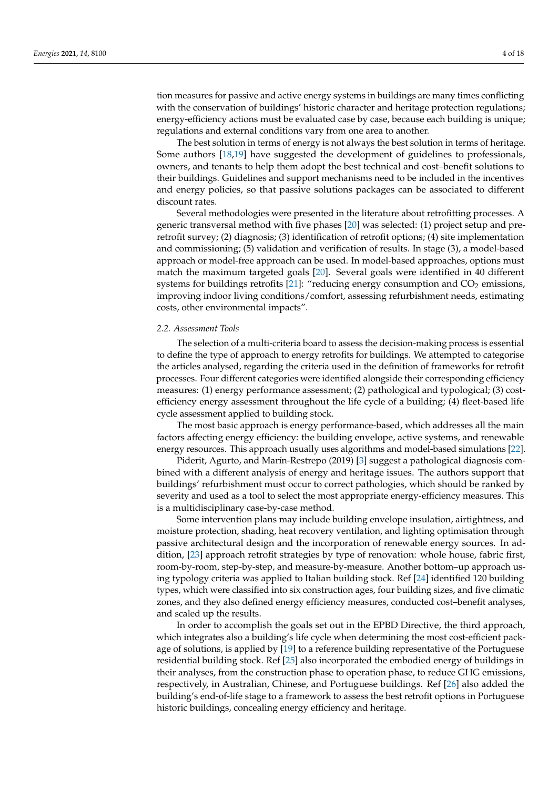tion measures for passive and active energy systems in buildings are many times conflicting with the conservation of buildings' historic character and heritage protection regulations; energy-efficiency actions must be evaluated case by case, because each building is unique; regulations and external conditions vary from one area to another.

The best solution in terms of energy is not always the best solution in terms of heritage. Some authors [\[18](#page-15-13)[,19\]](#page-15-14) have suggested the development of guidelines to professionals, owners, and tenants to help them adopt the best technical and cost–benefit solutions to their buildings. Guidelines and support mechanisms need to be included in the incentives and energy policies, so that passive solutions packages can be associated to different discount rates.

Several methodologies were presented in the literature about retrofitting processes. A generic transversal method with five phases [\[20\]](#page-15-15) was selected: (1) project setup and preretrofit survey; (2) diagnosis; (3) identification of retrofit options; (4) site implementation and commissioning; (5) validation and verification of results. In stage (3), a model-based approach or model-free approach can be used. In model-based approaches, options must match the maximum targeted goals [\[20\]](#page-15-15). Several goals were identified in 40 different systems for buildings retrofits  $[21]$ : "reducing energy consumption and  $CO<sub>2</sub>$  emissions, improving indoor living conditions/comfort, assessing refurbishment needs, estimating costs, other environmental impacts".

## *2.2. Assessment Tools*

The selection of a multi-criteria board to assess the decision-making process is essential to define the type of approach to energy retrofits for buildings. We attempted to categorise the articles analysed, regarding the criteria used in the definition of frameworks for retrofit processes. Four different categories were identified alongside their corresponding efficiency measures: (1) energy performance assessment; (2) pathological and typological; (3) costefficiency energy assessment throughout the life cycle of a building; (4) fleet-based life cycle assessment applied to building stock.

The most basic approach is energy performance-based, which addresses all the main factors affecting energy efficiency: the building envelope, active systems, and renewable energy resources. This approach usually uses algorithms and model-based simulations [\[22\]](#page-15-17).

Piderit, Agurto, and Marín-Restrepo (2019) [\[3\]](#page-14-2) suggest a pathological diagnosis combined with a different analysis of energy and heritage issues. The authors support that buildings' refurbishment must occur to correct pathologies, which should be ranked by severity and used as a tool to select the most appropriate energy-efficiency measures. This is a multidisciplinary case-by-case method.

Some intervention plans may include building envelope insulation, airtightness, and moisture protection, shading, heat recovery ventilation, and lighting optimisation through passive architectural design and the incorporation of renewable energy sources. In addition, [\[23\]](#page-15-18) approach retrofit strategies by type of renovation: whole house, fabric first, room-by-room, step-by-step, and measure-by-measure. Another bottom–up approach using typology criteria was applied to Italian building stock. Ref [\[24\]](#page-15-19) identified 120 building types, which were classified into six construction ages, four building sizes, and five climatic zones, and they also defined energy efficiency measures, conducted cost–benefit analyses, and scaled up the results.

In order to accomplish the goals set out in the EPBD Directive, the third approach, which integrates also a building's life cycle when determining the most cost-efficient package of solutions, is applied by [\[19\]](#page-15-14) to a reference building representative of the Portuguese residential building stock. Ref [\[25\]](#page-15-20) also incorporated the embodied energy of buildings in their analyses, from the construction phase to operation phase, to reduce GHG emissions, respectively, in Australian, Chinese, and Portuguese buildings. Ref [\[26\]](#page-15-21) also added the building's end-of-life stage to a framework to assess the best retrofit options in Portuguese historic buildings, concealing energy efficiency and heritage.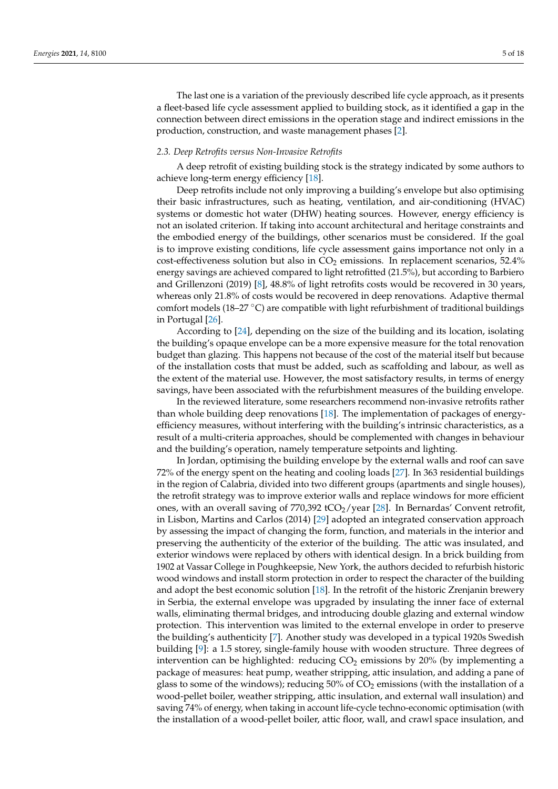The last one is a variation of the previously described life cycle approach, as it presents a fleet-based life cycle assessment applied to building stock, as it identified a gap in the connection between direct emissions in the operation stage and indirect emissions in the production, construction, and waste management phases [\[2\]](#page-14-1).

## *2.3. Deep Retrofits versus Non-Invasive Retrofits*

A deep retrofit of existing building stock is the strategy indicated by some authors to achieve long-term energy efficiency [\[18\]](#page-15-13).

Deep retrofits include not only improving a building's envelope but also optimising their basic infrastructures, such as heating, ventilation, and air-conditioning (HVAC) systems or domestic hot water (DHW) heating sources. However, energy efficiency is not an isolated criterion. If taking into account architectural and heritage constraints and the embodied energy of the buildings, other scenarios must be considered. If the goal is to improve existing conditions, life cycle assessment gains importance not only in a cost-effectiveness solution but also in  $CO<sub>2</sub>$  emissions. In replacement scenarios, 52.4% energy savings are achieved compared to light retrofitted (21.5%), but according to Barbiero and Grillenzoni (2019) [\[8\]](#page-15-3), 48.8% of light retrofits costs would be recovered in 30 years, whereas only 21.8% of costs would be recovered in deep renovations. Adaptive thermal comfort models (18–27  $\degree$ C) are compatible with light refurbishment of traditional buildings in Portugal [\[26\]](#page-15-21).

According to [\[24\]](#page-15-19), depending on the size of the building and its location, isolating the building's opaque envelope can be a more expensive measure for the total renovation budget than glazing. This happens not because of the cost of the material itself but because of the installation costs that must be added, such as scaffolding and labour, as well as the extent of the material use. However, the most satisfactory results, in terms of energy savings, have been associated with the refurbishment measures of the building envelope.

In the reviewed literature, some researchers recommend non-invasive retrofits rather than whole building deep renovations [\[18\]](#page-15-13). The implementation of packages of energyefficiency measures, without interfering with the building's intrinsic characteristics, as a result of a multi-criteria approaches, should be complemented with changes in behaviour and the building's operation, namely temperature setpoints and lighting.

In Jordan, optimising the building envelope by the external walls and roof can save 72% of the energy spent on the heating and cooling loads [\[27\]](#page-15-22). In 363 residential buildings in the region of Calabria, divided into two different groups (apartments and single houses), the retrofit strategy was to improve exterior walls and replace windows for more efficient ones, with an overall saving of  $770,392$  tCO<sub>2</sub>/year [\[28\]](#page-15-23). In Bernardas' Convent retrofit, in Lisbon, Martins and Carlos (2014) [\[29\]](#page-15-24) adopted an integrated conservation approach by assessing the impact of changing the form, function, and materials in the interior and preserving the authenticity of the exterior of the building. The attic was insulated, and exterior windows were replaced by others with identical design. In a brick building from 1902 at Vassar College in Poughkeepsie, New York, the authors decided to refurbish historic wood windows and install storm protection in order to respect the character of the building and adopt the best economic solution [\[18\]](#page-15-13). In the retrofit of the historic Zrenjanin brewery in Serbia, the external envelope was upgraded by insulating the inner face of external walls, eliminating thermal bridges, and introducing double glazing and external window protection. This intervention was limited to the external envelope in order to preserve the building's authenticity [\[7\]](#page-15-2). Another study was developed in a typical 1920s Swedish building [\[9\]](#page-15-4): a 1.5 storey, single-family house with wooden structure. Three degrees of intervention can be highlighted: reducing  $CO<sub>2</sub>$  emissions by 20% (by implementing a package of measures: heat pump, weather stripping, attic insulation, and adding a pane of glass to some of the windows); reducing  $50\%$  of  $CO<sub>2</sub>$  emissions (with the installation of a wood-pellet boiler, weather stripping, attic insulation, and external wall insulation) and saving 74% of energy, when taking in account life-cycle techno-economic optimisation (with the installation of a wood-pellet boiler, attic floor, wall, and crawl space insulation, and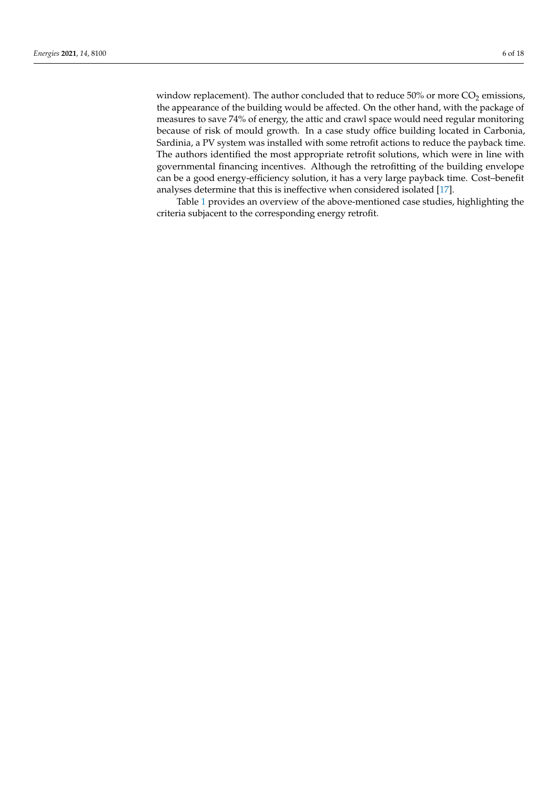window replacement). The author concluded that to reduce  $50\%$  or more  $CO<sub>2</sub>$  emissions, the appearance of the building would be affected. On the other hand, with the package of measures to save 74% of energy, the attic and crawl space would need regular monitoring because of risk of mould growth. In a case study office building located in Carbonia, Sardinia, a PV system was installed with some retrofit actions to reduce the payback time. The authors identified the most appropriate retrofit solutions, which were in line with governmental financing incentives. Although the retrofitting of the building envelope can be a good energy-efficiency solution, it has a very large payback time. Cost–benefit analyses determine that this is ineffective when considered isolated [\[17\]](#page-15-12).

Table [1](#page-6-0) provides an overview of the above-mentioned case studies, highlighting the criteria subjacent to the corresponding energy retrofit.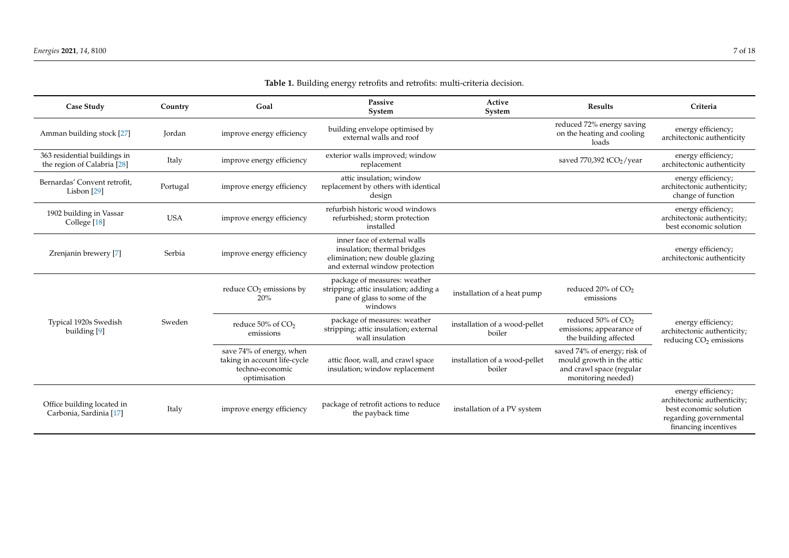<span id="page-6-0"></span>

| Case Study                                                  | Country       | Goal                                                                                        | Passive<br>System                                                                                                                | Active<br>System                        | <b>Results</b>                                                                                              | Criteria                                                                                                                      |
|-------------------------------------------------------------|---------------|---------------------------------------------------------------------------------------------|----------------------------------------------------------------------------------------------------------------------------------|-----------------------------------------|-------------------------------------------------------------------------------------------------------------|-------------------------------------------------------------------------------------------------------------------------------|
| Amman building stock [27]                                   | <b>Jordan</b> | improve energy efficiency                                                                   | building envelope optimised by<br>external walls and roof                                                                        |                                         | reduced 72% energy saving<br>on the heating and cooling<br>loads                                            | energy efficiency;<br>architectonic authenticity                                                                              |
| 363 residential buildings in<br>the region of Calabria [28] | Italy         | improve energy efficiency                                                                   | exterior walls improved; window<br>replacement                                                                                   |                                         | saved 770,392 tCO <sub>2</sub> /year                                                                        | energy efficiency;<br>architectonic authenticity                                                                              |
| Bernardas' Convent retrofit,<br>Lisbon $[29]$               | Portugal      | improve energy efficiency                                                                   | attic insulation: window<br>replacement by others with identical<br>design                                                       |                                         |                                                                                                             | energy efficiency;<br>architectonic authenticity;<br>change of function                                                       |
| 1902 building in Vassar<br>College [18]                     | <b>USA</b>    | improve energy efficiency                                                                   | refurbish historic wood windows<br>refurbished; storm protection<br>installed                                                    |                                         |                                                                                                             | energy efficiency;<br>architectonic authenticity;<br>best economic solution                                                   |
| Zrenjanin brewery [7]                                       | Serbia        | improve energy efficiency                                                                   | inner face of external walls<br>insulation; thermal bridges<br>elimination; new double glazing<br>and external window protection |                                         |                                                                                                             | energy efficiency;<br>architectonic authenticity                                                                              |
|                                                             |               | reduce CO <sub>2</sub> emissions by<br>20%                                                  | package of measures: weather<br>stripping; attic insulation; adding a<br>pane of glass to some of the<br>windows                 | installation of a heat pump             | reduced 20% of CO <sub>2</sub><br>emissions                                                                 |                                                                                                                               |
| Typical 1920s Swedish<br>building [9]                       | Sweden        | reduce 50% of CO <sub>2</sub><br>emissions                                                  | package of measures: weather<br>stripping; attic insulation; external<br>wall insulation                                         | installation of a wood-pellet<br>boiler | reduced 50% of CO <sub>2</sub><br>emissions; appearance of<br>the building affected                         | energy efficiency;<br>architectonic authenticity;<br>reducing CO <sub>2</sub> emissions                                       |
|                                                             |               | save 74% of energy, when<br>taking in account life-cycle<br>techno-economic<br>optimisation | attic floor, wall, and crawl space<br>insulation; window replacement                                                             | installation of a wood-pellet<br>boiler | saved 74% of energy; risk of<br>mould growth in the attic<br>and crawl space (regular<br>monitoring needed) |                                                                                                                               |
| Office building located in<br>Carbonia, Sardinia [17]       | Italy         | improve energy efficiency                                                                   | package of retrofit actions to reduce<br>the payback time                                                                        | installation of a PV system             |                                                                                                             | energy efficiency;<br>architectonic authenticity;<br>best economic solution<br>regarding governmental<br>financing incentives |

**Table 1.** Building energy retrofits and retrofits: multi-criteria decision.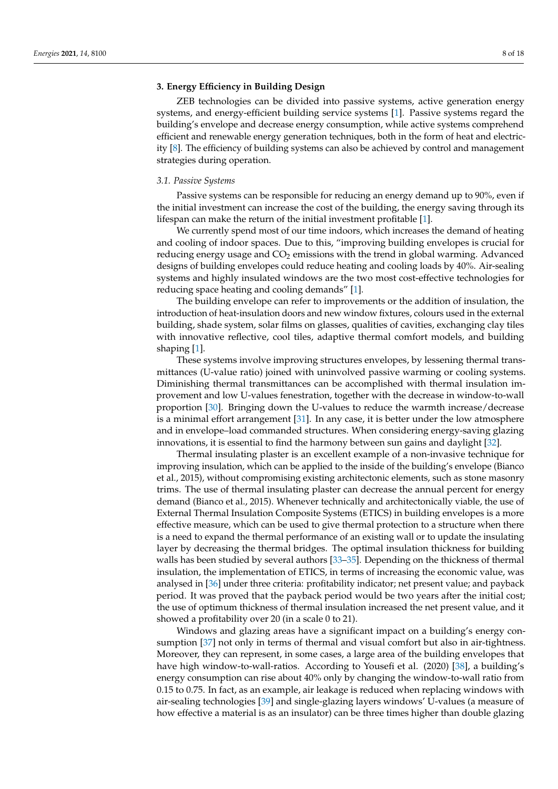# <span id="page-7-0"></span>**3. Energy Efficiency in Building Design**

ZEB technologies can be divided into passive systems, active generation energy systems, and energy-efficient building service systems [\[1\]](#page-14-0). Passive systems regard the building's envelope and decrease energy consumption, while active systems comprehend efficient and renewable energy generation techniques, both in the form of heat and electricity [\[8\]](#page-15-3). The efficiency of building systems can also be achieved by control and management strategies during operation.

#### *3.1. Passive Systems*

Passive systems can be responsible for reducing an energy demand up to 90%, even if the initial investment can increase the cost of the building, the energy saving through its lifespan can make the return of the initial investment profitable [\[1\]](#page-14-0).

We currently spend most of our time indoors, which increases the demand of heating and cooling of indoor spaces. Due to this, "improving building envelopes is crucial for reducing energy usage and  $CO<sub>2</sub>$  emissions with the trend in global warming. Advanced designs of building envelopes could reduce heating and cooling loads by 40%. Air-sealing systems and highly insulated windows are the two most cost-effective technologies for reducing space heating and cooling demands" [\[1\]](#page-14-0).

The building envelope can refer to improvements or the addition of insulation, the introduction of heat-insulation doors and new window fixtures, colours used in the external building, shade system, solar films on glasses, qualities of cavities, exchanging clay tiles with innovative reflective, cool tiles, adaptive thermal comfort models, and building shaping [\[1\]](#page-14-0).

These systems involve improving structures envelopes, by lessening thermal transmittances (U-value ratio) joined with uninvolved passive warming or cooling systems. Diminishing thermal transmittances can be accomplished with thermal insulation improvement and low U-values fenestration, together with the decrease in window-to-wall proportion [\[30\]](#page-15-32). Bringing down the U-values to reduce the warmth increase/decrease is a minimal effort arrangement [\[31\]](#page-15-33). In any case, it is better under the low atmosphere and in envelope–load commanded structures. When considering energy-saving glazing innovations, it is essential to find the harmony between sun gains and daylight [\[32\]](#page-15-34).

Thermal insulating plaster is an excellent example of a non-invasive technique for improving insulation, which can be applied to the inside of the building's envelope (Bianco et al., 2015), without compromising existing architectonic elements, such as stone masonry trims. The use of thermal insulating plaster can decrease the annual percent for energy demand (Bianco et al., 2015). Whenever technically and architectonically viable, the use of External Thermal Insulation Composite Systems (ETICS) in building envelopes is a more effective measure, which can be used to give thermal protection to a structure when there is a need to expand the thermal performance of an existing wall or to update the insulating layer by decreasing the thermal bridges. The optimal insulation thickness for building walls has been studied by several authors [\[33](#page-15-35)-35]. Depending on the thickness of thermal insulation, the implementation of ETICS, in terms of increasing the economic value, was analysed in [\[36\]](#page-16-1) under three criteria: profitability indicator; net present value; and payback period. It was proved that the payback period would be two years after the initial cost; the use of optimum thickness of thermal insulation increased the net present value, and it showed a profitability over 20 (in a scale 0 to 21).

Windows and glazing areas have a significant impact on a building's energy consumption [\[37\]](#page-16-2) not only in terms of thermal and visual comfort but also in air-tightness. Moreover, they can represent, in some cases, a large area of the building envelopes that have high window-to-wall-ratios. According to Yousefi et al. (2020) [\[38\]](#page-16-3), a building's energy consumption can rise about 40% only by changing the window-to-wall ratio from 0.15 to 0.75. In fact, as an example, air leakage is reduced when replacing windows with air-sealing technologies [\[39\]](#page-16-4) and single-glazing layers windows' U-values (a measure of how effective a material is as an insulator) can be three times higher than double glazing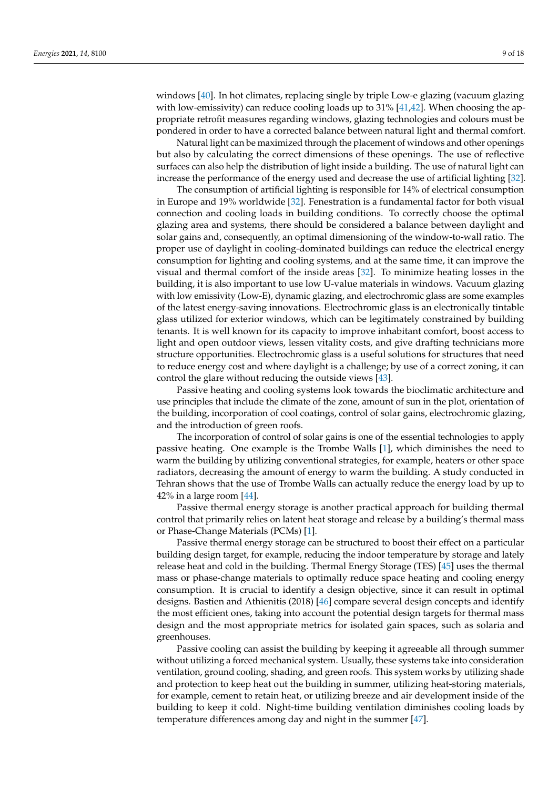windows [\[40\]](#page-16-5). In hot climates, replacing single by triple Low-e glazing (vacuum glazing with low-emissivity) can reduce cooling loads up to  $31\%$  [ $41,42$ ]. When choosing the appropriate retrofit measures regarding windows, glazing technologies and colours must be pondered in order to have a corrected balance between natural light and thermal comfort.

Natural light can be maximized through the placement of windows and other openings but also by calculating the correct dimensions of these openings. The use of reflective surfaces can also help the distribution of light inside a building. The use of natural light can increase the performance of the energy used and decrease the use of artificial lighting [\[32\]](#page-15-34).

The consumption of artificial lighting is responsible for 14% of electrical consumption in Europe and 19% worldwide [\[32\]](#page-15-34). Fenestration is a fundamental factor for both visual connection and cooling loads in building conditions. To correctly choose the optimal glazing area and systems, there should be considered a balance between daylight and solar gains and, consequently, an optimal dimensioning of the window-to-wall ratio. The proper use of daylight in cooling-dominated buildings can reduce the electrical energy consumption for lighting and cooling systems, and at the same time, it can improve the visual and thermal comfort of the inside areas [\[32\]](#page-15-34). To minimize heating losses in the building, it is also important to use low U-value materials in windows. Vacuum glazing with low emissivity (Low-E), dynamic glazing, and electrochromic glass are some examples of the latest energy-saving innovations. Electrochromic glass is an electronically tintable glass utilized for exterior windows, which can be legitimately constrained by building tenants. It is well known for its capacity to improve inhabitant comfort, boost access to light and open outdoor views, lessen vitality costs, and give drafting technicians more structure opportunities. Electrochromic glass is a useful solutions for structures that need to reduce energy cost and where daylight is a challenge; by use of a correct zoning, it can control the glare without reducing the outside views [\[43\]](#page-16-8).

Passive heating and cooling systems look towards the bioclimatic architecture and use principles that include the climate of the zone, amount of sun in the plot, orientation of the building, incorporation of cool coatings, control of solar gains, electrochromic glazing, and the introduction of green roofs.

The incorporation of control of solar gains is one of the essential technologies to apply passive heating. One example is the Trombe Walls [\[1\]](#page-14-0), which diminishes the need to warm the building by utilizing conventional strategies, for example, heaters or other space radiators, decreasing the amount of energy to warm the building. A study conducted in Tehran shows that the use of Trombe Walls can actually reduce the energy load by up to 42% in a large room  $[44]$ .

Passive thermal energy storage is another practical approach for building thermal control that primarily relies on latent heat storage and release by a building's thermal mass or Phase-Change Materials (PCMs) [\[1\]](#page-14-0).

Passive thermal energy storage can be structured to boost their effect on a particular building design target, for example, reducing the indoor temperature by storage and lately release heat and cold in the building. Thermal Energy Storage (TES) [\[45\]](#page-16-10) uses the thermal mass or phase-change materials to optimally reduce space heating and cooling energy consumption. It is crucial to identify a design objective, since it can result in optimal designs. Bastien and Athienitis (2018) [\[46\]](#page-16-11) compare several design concepts and identify the most efficient ones, taking into account the potential design targets for thermal mass design and the most appropriate metrics for isolated gain spaces, such as solaria and greenhouses.

Passive cooling can assist the building by keeping it agreeable all through summer without utilizing a forced mechanical system. Usually, these systems take into consideration ventilation, ground cooling, shading, and green roofs. This system works by utilizing shade and protection to keep heat out the building in summer, utilizing heat-storing materials, for example, cement to retain heat, or utilizing breeze and air development inside of the building to keep it cold. Night-time building ventilation diminishes cooling loads by temperature differences among day and night in the summer [\[47\]](#page-16-12).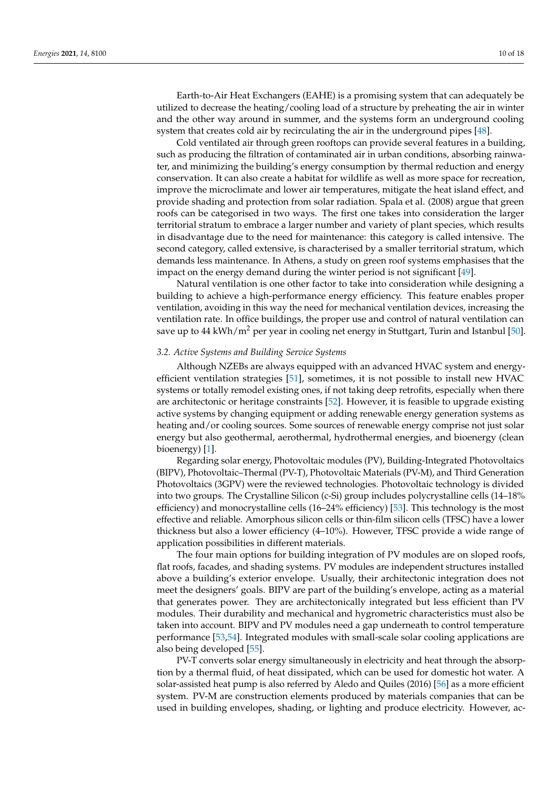Earth-to-Air Heat Exchangers (EAHE) is a promising system that can adequately be utilized to decrease the heating/cooling load of a structure by preheating the air in winter and the other way around in summer, and the systems form an underground cooling system that creates cold air by recirculating the air in the underground pipes [\[48\]](#page-16-13).

Cold ventilated air through green rooftops can provide several features in a building, such as producing the filtration of contaminated air in urban conditions, absorbing rainwater, and minimizing the building's energy consumption by thermal reduction and energy conservation. It can also create a habitat for wildlife as well as more space for recreation, improve the microclimate and lower air temperatures, mitigate the heat island effect, and provide shading and protection from solar radiation. Spala et al. (2008) argue that green roofs can be categorised in two ways. The first one takes into consideration the larger territorial stratum to embrace a larger number and variety of plant species, which results in disadvantage due to the need for maintenance: this category is called intensive. The second category, called extensive, is characterised by a smaller territorial stratum, which demands less maintenance. In Athens, a study on green roof systems emphasises that the impact on the energy demand during the winter period is not significant [\[49\]](#page-16-14).

Natural ventilation is one other factor to take into consideration while designing a building to achieve a high-performance energy efficiency. This feature enables proper ventilation, avoiding in this way the need for mechanical ventilation devices, increasing the ventilation rate. In office buildings, the proper use and control of natural ventilation can save up to 44 kWh/ $m^2$  per year in cooling net energy in Stuttgart, Turin and Istanbul [\[50\]](#page-16-15).

# *3.2. Active Systems and Building Service Systems*

Although NZEBs are always equipped with an advanced HVAC system and energyefficient ventilation strategies [\[51\]](#page-16-16), sometimes, it is not possible to install new HVAC systems or totally remodel existing ones, if not taking deep retrofits, especially when there are architectonic or heritage constraints [\[52\]](#page-16-17). However, it is feasible to upgrade existing active systems by changing equipment or adding renewable energy generation systems as heating and/or cooling sources. Some sources of renewable energy comprise not just solar energy but also geothermal, aerothermal, hydrothermal energies, and bioenergy (clean bioenergy) [\[1\]](#page-14-0).

Regarding solar energy, Photovoltaic modules (PV), Building-Integrated Photovoltaics (BIPV), Photovoltaic–Thermal (PV-T), Photovoltaic Materials (PV-M), and Third Generation Photovoltaics (3GPV) were the reviewed technologies. Photovoltaic technology is divided into two groups. The Crystalline Silicon (c-Si) group includes polycrystalline cells (14–18% efficiency) and monocrystalline cells (16–24% efficiency) [\[53\]](#page-16-18). This technology is the most effective and reliable. Amorphous silicon cells or thin-film silicon cells (TFSC) have a lower thickness but also a lower efficiency (4–10%). However, TFSC provide a wide range of application possibilities in different materials.

The four main options for building integration of PV modules are on sloped roofs, flat roofs, facades, and shading systems. PV modules are independent structures installed above a building's exterior envelope. Usually, their architectonic integration does not meet the designers' goals. BIPV are part of the building's envelope, acting as a material that generates power. They are architectonically integrated but less efficient than PV modules. Their durability and mechanical and hygrometric characteristics must also be taken into account. BIPV and PV modules need a gap underneath to control temperature performance [\[53,](#page-16-18)[54\]](#page-16-19). Integrated modules with small-scale solar cooling applications are also being developed [\[55\]](#page-16-20).

PV-T converts solar energy simultaneously in electricity and heat through the absorption by a thermal fluid, of heat dissipated, which can be used for domestic hot water. A solar-assisted heat pump is also referred by Aledo and Quiles (2016) [\[56\]](#page-16-21) as a more efficient system. PV-M are construction elements produced by materials companies that can be used in building envelopes, shading, or lighting and produce electricity. However, ac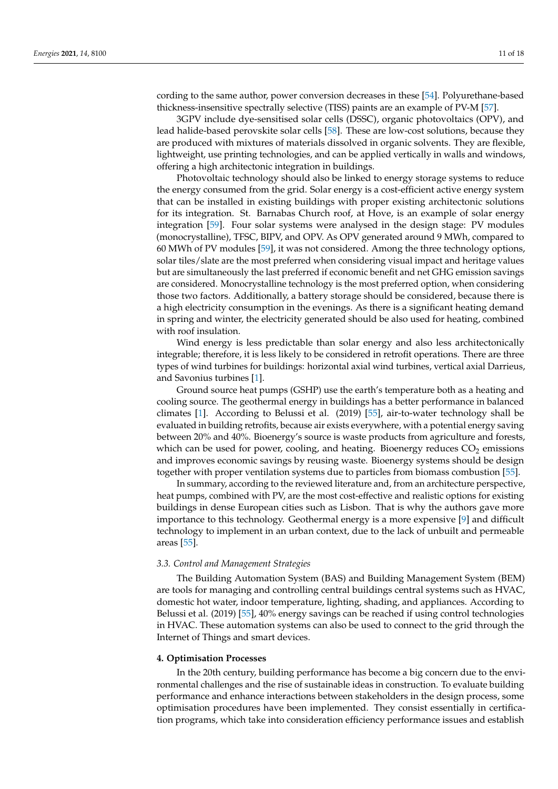cording to the same author, power conversion decreases in these [\[54\]](#page-16-19). Polyurethane-based thickness-insensitive spectrally selective (TISS) paints are an example of PV-M [\[57\]](#page-16-22).

3GPV include dye-sensitised solar cells (DSSC), organic photovoltaics (OPV), and lead halide-based perovskite solar cells [\[58\]](#page-16-23). These are low-cost solutions, because they are produced with mixtures of materials dissolved in organic solvents. They are flexible, lightweight, use printing technologies, and can be applied vertically in walls and windows, offering a high architectonic integration in buildings.

Photovoltaic technology should also be linked to energy storage systems to reduce the energy consumed from the grid. Solar energy is a cost-efficient active energy system that can be installed in existing buildings with proper existing architectonic solutions for its integration. St. Barnabas Church roof, at Hove, is an example of solar energy integration [\[59\]](#page-16-24). Four solar systems were analysed in the design stage: PV modules (monocrystalline), TFSC, BIPV, and OPV. As OPV generated around 9 MWh, compared to 60 MWh of PV modules [\[59\]](#page-16-24), it was not considered. Among the three technology options, solar tiles/slate are the most preferred when considering visual impact and heritage values but are simultaneously the last preferred if economic benefit and net GHG emission savings are considered. Monocrystalline technology is the most preferred option, when considering those two factors. Additionally, a battery storage should be considered, because there is a high electricity consumption in the evenings. As there is a significant heating demand in spring and winter, the electricity generated should be also used for heating, combined with roof insulation.

Wind energy is less predictable than solar energy and also less architectonically integrable; therefore, it is less likely to be considered in retrofit operations. There are three types of wind turbines for buildings: horizontal axial wind turbines, vertical axial Darrieus, and Savonius turbines [\[1\]](#page-14-0).

Ground source heat pumps (GSHP) use the earth's temperature both as a heating and cooling source. The geothermal energy in buildings has a better performance in balanced climates [\[1\]](#page-14-0). According to Belussi et al. (2019) [\[55\]](#page-16-20), air-to-water technology shall be evaluated in building retrofits, because air exists everywhere, with a potential energy saving between 20% and 40%. Bioenergy's source is waste products from agriculture and forests, which can be used for power, cooling, and heating. Bioenergy reduces  $CO<sub>2</sub>$  emissions and improves economic savings by reusing waste. Bioenergy systems should be design together with proper ventilation systems due to particles from biomass combustion [\[55\]](#page-16-20).

In summary, according to the reviewed literature and, from an architecture perspective, heat pumps, combined with PV, are the most cost-effective and realistic options for existing buildings in dense European cities such as Lisbon. That is why the authors gave more importance to this technology. Geothermal energy is a more expensive [\[9\]](#page-15-4) and difficult technology to implement in an urban context, due to the lack of unbuilt and permeable areas [\[55\]](#page-16-20).

#### *3.3. Control and Management Strategies*

The Building Automation System (BAS) and Building Management System (BEM) are tools for managing and controlling central buildings central systems such as HVAC, domestic hot water, indoor temperature, lighting, shading, and appliances. According to Belussi et al. (2019) [\[55\]](#page-16-20), 40% energy savings can be reached if using control technologies in HVAC. These automation systems can also be used to connect to the grid through the Internet of Things and smart devices.

#### <span id="page-10-0"></span>**4. Optimisation Processes**

In the 20th century, building performance has become a big concern due to the environmental challenges and the rise of sustainable ideas in construction. To evaluate building performance and enhance interactions between stakeholders in the design process, some optimisation procedures have been implemented. They consist essentially in certification programs, which take into consideration efficiency performance issues and establish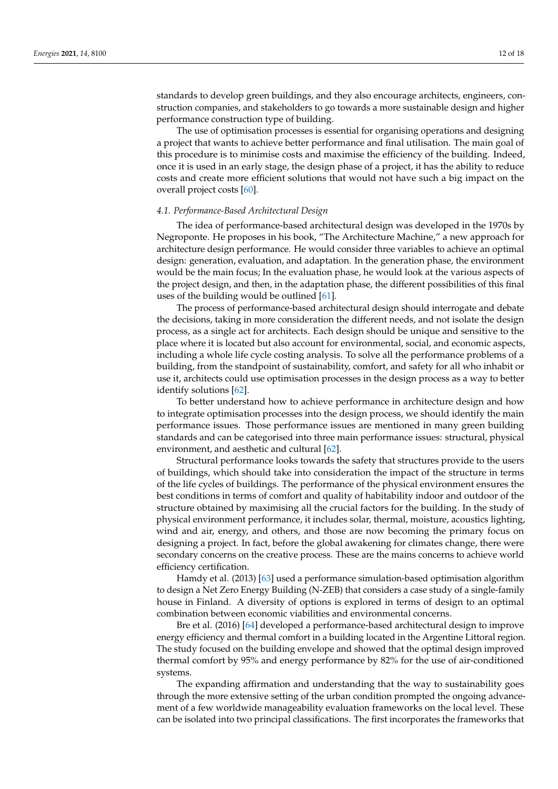standards to develop green buildings, and they also encourage architects, engineers, construction companies, and stakeholders to go towards a more sustainable design and higher performance construction type of building.

The use of optimisation processes is essential for organising operations and designing a project that wants to achieve better performance and final utilisation. The main goal of this procedure is to minimise costs and maximise the efficiency of the building. Indeed, once it is used in an early stage, the design phase of a project, it has the ability to reduce costs and create more efficient solutions that would not have such a big impact on the overall project costs [\[60\]](#page-16-25).

## *4.1. Performance-Based Architectural Design*

The idea of performance-based architectural design was developed in the 1970s by Negroponte. He proposes in his book, "The Architecture Machine," a new approach for architecture design performance. He would consider three variables to achieve an optimal design: generation, evaluation, and adaptation. In the generation phase, the environment would be the main focus; In the evaluation phase, he would look at the various aspects of the project design, and then, in the adaptation phase, the different possibilities of this final uses of the building would be outlined [\[61\]](#page-16-26).

The process of performance-based architectural design should interrogate and debate the decisions, taking in more consideration the different needs, and not isolate the design process, as a single act for architects. Each design should be unique and sensitive to the place where it is located but also account for environmental, social, and economic aspects, including a whole life cycle costing analysis. To solve all the performance problems of a building, from the standpoint of sustainability, comfort, and safety for all who inhabit or use it, architects could use optimisation processes in the design process as a way to better identify solutions [\[62\]](#page-16-27).

To better understand how to achieve performance in architecture design and how to integrate optimisation processes into the design process, we should identify the main performance issues. Those performance issues are mentioned in many green building standards and can be categorised into three main performance issues: structural, physical environment, and aesthetic and cultural [\[62\]](#page-16-27).

Structural performance looks towards the safety that structures provide to the users of buildings, which should take into consideration the impact of the structure in terms of the life cycles of buildings. The performance of the physical environment ensures the best conditions in terms of comfort and quality of habitability indoor and outdoor of the structure obtained by maximising all the crucial factors for the building. In the study of physical environment performance, it includes solar, thermal, moisture, acoustics lighting, wind and air, energy, and others, and those are now becoming the primary focus on designing a project. In fact, before the global awakening for climates change, there were secondary concerns on the creative process. These are the mains concerns to achieve world efficiency certification.

Hamdy et al. (2013) [\[63\]](#page-16-28) used a performance simulation-based optimisation algorithm to design a Net Zero Energy Building (N-ZEB) that considers a case study of a single-family house in Finland. A diversity of options is explored in terms of design to an optimal combination between economic viabilities and environmental concerns.

Bre et al. (2016) [\[64\]](#page-17-0) developed a performance-based architectural design to improve energy efficiency and thermal comfort in a building located in the Argentine Littoral region. The study focused on the building envelope and showed that the optimal design improved thermal comfort by 95% and energy performance by 82% for the use of air-conditioned systems.

The expanding affirmation and understanding that the way to sustainability goes through the more extensive setting of the urban condition prompted the ongoing advancement of a few worldwide manageability evaluation frameworks on the local level. These can be isolated into two principal classifications. The first incorporates the frameworks that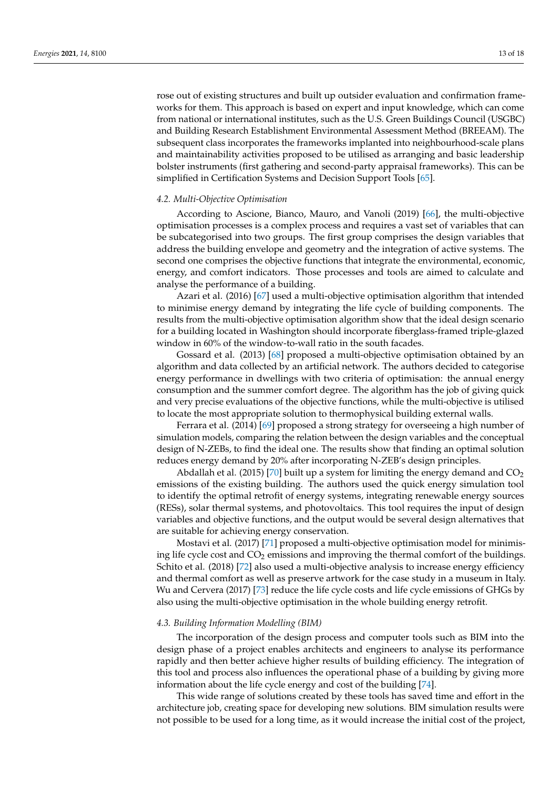rose out of existing structures and built up outsider evaluation and confirmation frameworks for them. This approach is based on expert and input knowledge, which can come from national or international institutes, such as the U.S. Green Buildings Council (USGBC) and Building Research Establishment Environmental Assessment Method (BREEAM). The subsequent class incorporates the frameworks implanted into neighbourhood-scale plans and maintainability activities proposed to be utilised as arranging and basic leadership bolster instruments (first gathering and second-party appraisal frameworks). This can be simplified in Certification Systems and Decision Support Tools [\[65\]](#page-17-1).

# *4.2. Multi-Objective Optimisation*

According to Ascione, Bianco, Mauro, and Vanoli (2019) [\[66\]](#page-17-2), the multi-objective optimisation processes is a complex process and requires a vast set of variables that can be subcategorised into two groups. The first group comprises the design variables that address the building envelope and geometry and the integration of active systems. The second one comprises the objective functions that integrate the environmental, economic, energy, and comfort indicators. Those processes and tools are aimed to calculate and analyse the performance of a building.

Azari et al. (2016) [\[67\]](#page-17-3) used a multi-objective optimisation algorithm that intended to minimise energy demand by integrating the life cycle of building components. The results from the multi-objective optimisation algorithm show that the ideal design scenario for a building located in Washington should incorporate fiberglass-framed triple-glazed window in 60% of the window-to-wall ratio in the south facades.

Gossard et al. (2013) [\[68\]](#page-17-4) proposed a multi-objective optimisation obtained by an algorithm and data collected by an artificial network. The authors decided to categorise energy performance in dwellings with two criteria of optimisation: the annual energy consumption and the summer comfort degree. The algorithm has the job of giving quick and very precise evaluations of the objective functions, while the multi-objective is utilised to locate the most appropriate solution to thermophysical building external walls.

Ferrara et al. (2014) [\[69\]](#page-17-5) proposed a strong strategy for overseeing a high number of simulation models, comparing the relation between the design variables and the conceptual design of N-ZEBs, to find the ideal one. The results show that finding an optimal solution reduces energy demand by 20% after incorporating N-ZEB's design principles.

Abdallah et al. (2015) [\[70\]](#page-17-6) built up a system for limiting the energy demand and  $CO<sub>2</sub>$ emissions of the existing building. The authors used the quick energy simulation tool to identify the optimal retrofit of energy systems, integrating renewable energy sources (RESs), solar thermal systems, and photovoltaics. This tool requires the input of design variables and objective functions, and the output would be several design alternatives that are suitable for achieving energy conservation.

Mostavi et al. (2017) [\[71\]](#page-17-7) proposed a multi-objective optimisation model for minimising life cycle cost and  $CO<sub>2</sub>$  emissions and improving the thermal comfort of the buildings. Schito et al. (2018) [\[72\]](#page-17-8) also used a multi-objective analysis to increase energy efficiency and thermal comfort as well as preserve artwork for the case study in a museum in Italy. Wu and Cervera (2017) [\[73\]](#page-17-9) reduce the life cycle costs and life cycle emissions of GHGs by also using the multi-objective optimisation in the whole building energy retrofit.

## *4.3. Building Information Modelling (BIM)*

The incorporation of the design process and computer tools such as BIM into the design phase of a project enables architects and engineers to analyse its performance rapidly and then better achieve higher results of building efficiency. The integration of this tool and process also influences the operational phase of a building by giving more information about the life cycle energy and cost of the building [\[74\]](#page-17-10).

This wide range of solutions created by these tools has saved time and effort in the architecture job, creating space for developing new solutions. BIM simulation results were not possible to be used for a long time, as it would increase the initial cost of the project,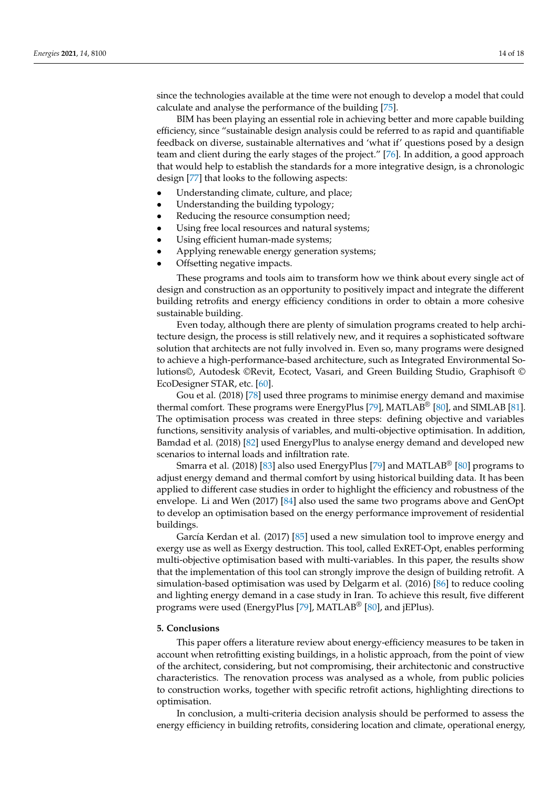since the technologies available at the time were not enough to develop a model that could calculate and analyse the performance of the building [\[75\]](#page-17-11).

BIM has been playing an essential role in achieving better and more capable building efficiency, since "sustainable design analysis could be referred to as rapid and quantifiable feedback on diverse, sustainable alternatives and 'what if' questions posed by a design team and client during the early stages of the project." [\[76\]](#page-17-12). In addition, a good approach that would help to establish the standards for a more integrative design, is a chronologic design [\[77\]](#page-17-13) that looks to the following aspects:

- Understanding climate, culture, and place;
- Understanding the building typology;
- Reducing the resource consumption need;
- Using free local resources and natural systems;
- Using efficient human-made systems;
- Applying renewable energy generation systems;
- Offsetting negative impacts.

These programs and tools aim to transform how we think about every single act of design and construction as an opportunity to positively impact and integrate the different building retrofits and energy efficiency conditions in order to obtain a more cohesive sustainable building.

Even today, although there are plenty of simulation programs created to help architecture design, the process is still relatively new, and it requires a sophisticated software solution that architects are not fully involved in. Even so, many programs were designed to achieve a high-performance-based architecture, such as Integrated Environmental Solutions©, Autodesk ©Revit, Ecotect, Vasari, and Green Building Studio, Graphisoft © EcoDesigner STAR, etc. [\[60\]](#page-16-25).

Gou et al. (2018) [\[78\]](#page-17-14) used three programs to minimise energy demand and maximise thermal comfort. These programs were EnergyPlus [\[79\]](#page-17-15), MATLAB<sup>®</sup> [\[80\]](#page-17-16), and SIMLAB [\[81\]](#page-17-17). The optimisation process was created in three steps: defining objective and variables functions, sensitivity analysis of variables, and multi-objective optimisation. In addition, Bamdad et al. (2018) [\[82\]](#page-17-18) used EnergyPlus to analyse energy demand and developed new scenarios to internal loads and infiltration rate.

Smarra et al. (2018) [\[83\]](#page-17-19) also used EnergyPlus [\[79\]](#page-17-15) and MATLAB® [\[80\]](#page-17-16) programs to adjust energy demand and thermal comfort by using historical building data. It has been applied to different case studies in order to highlight the efficiency and robustness of the envelope. Li and Wen (2017) [\[84\]](#page-17-20) also used the same two programs above and GenOpt to develop an optimisation based on the energy performance improvement of residential buildings.

García Kerdan et al. (2017) [\[85\]](#page-17-21) used a new simulation tool to improve energy and exergy use as well as Exergy destruction. This tool, called ExRET-Opt, enables performing multi-objective optimisation based with multi-variables. In this paper, the results show that the implementation of this tool can strongly improve the design of building retrofit. A simulation-based optimisation was used by Delgarm et al. (2016) [\[86\]](#page-17-22) to reduce cooling and lighting energy demand in a case study in Iran. To achieve this result, five different programs were used (EnergyPlus [\[79\]](#page-17-15), MATLAB® [\[80\]](#page-17-16), and jEPlus).

# **5. Conclusions**

This paper offers a literature review about energy-efficiency measures to be taken in account when retrofitting existing buildings, in a holistic approach, from the point of view of the architect, considering, but not compromising, their architectonic and constructive characteristics. The renovation process was analysed as a whole, from public policies to construction works, together with specific retrofit actions, highlighting directions to optimisation.

In conclusion, a multi-criteria decision analysis should be performed to assess the energy efficiency in building retrofits, considering location and climate, operational energy,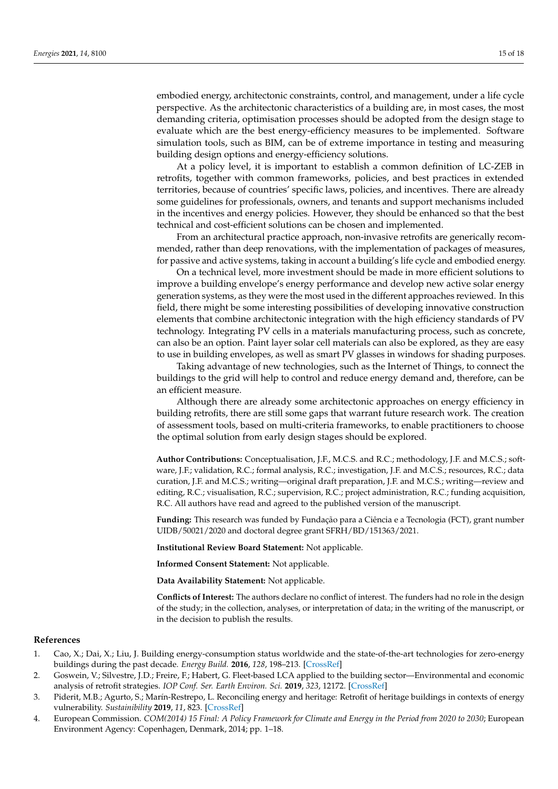embodied energy, architectonic constraints, control, and management, under a life cycle perspective. As the architectonic characteristics of a building are, in most cases, the most demanding criteria, optimisation processes should be adopted from the design stage to evaluate which are the best energy-efficiency measures to be implemented. Software simulation tools, such as BIM, can be of extreme importance in testing and measuring building design options and energy-efficiency solutions.

At a policy level, it is important to establish a common definition of LC-ZEB in retrofits, together with common frameworks, policies, and best practices in extended territories, because of countries' specific laws, policies, and incentives. There are already some guidelines for professionals, owners, and tenants and support mechanisms included in the incentives and energy policies. However, they should be enhanced so that the best technical and cost-efficient solutions can be chosen and implemented.

From an architectural practice approach, non-invasive retrofits are generically recommended, rather than deep renovations, with the implementation of packages of measures, for passive and active systems, taking in account a building's life cycle and embodied energy.

On a technical level, more investment should be made in more efficient solutions to improve a building envelope's energy performance and develop new active solar energy generation systems, as they were the most used in the different approaches reviewed. In this field, there might be some interesting possibilities of developing innovative construction elements that combine architectonic integration with the high efficiency standards of PV technology. Integrating PV cells in a materials manufacturing process, such as concrete, can also be an option. Paint layer solar cell materials can also be explored, as they are easy to use in building envelopes, as well as smart PV glasses in windows for shading purposes.

Taking advantage of new technologies, such as the Internet of Things, to connect the buildings to the grid will help to control and reduce energy demand and, therefore, can be an efficient measure.

Although there are already some architectonic approaches on energy efficiency in building retrofits, there are still some gaps that warrant future research work. The creation of assessment tools, based on multi-criteria frameworks, to enable practitioners to choose the optimal solution from early design stages should be explored.

**Author Contributions:** Conceptualisation, J.F., M.C.S. and R.C.; methodology, J.F. and M.C.S.; software, J.F.; validation, R.C.; formal analysis, R.C.; investigation, J.F. and M.C.S.; resources, R.C.; data curation, J.F. and M.C.S.; writing—original draft preparation, J.F. and M.C.S.; writing—review and editing, R.C.; visualisation, R.C.; supervision, R.C.; project administration, R.C.; funding acquisition, R.C. All authors have read and agreed to the published version of the manuscript.

**Funding:** This research was funded by Fundação para a Ciência e a Tecnologia (FCT), grant number UIDB/50021/2020 and doctoral degree grant SFRH/BD/151363/2021.

**Institutional Review Board Statement:** Not applicable.

**Informed Consent Statement:** Not applicable.

**Data Availability Statement:** Not applicable.

**Conflicts of Interest:** The authors declare no conflict of interest. The funders had no role in the design of the study; in the collection, analyses, or interpretation of data; in the writing of the manuscript, or in the decision to publish the results.

# **References**

- <span id="page-14-0"></span>1. Cao, X.; Dai, X.; Liu, J. Building energy-consumption status worldwide and the state-of-the-art technologies for zero-energy buildings during the past decade. *Energy Build.* **2016**, *128*, 198–213. [\[CrossRef\]](http://doi.org/10.1016/j.enbuild.2016.06.089)
- <span id="page-14-1"></span>2. Goswein, V.; Silvestre, J.D.; Freire, F.; Habert, G. Fleet-based LCA applied to the building sector—Environmental and economic analysis of retrofit strategies. *IOP Conf. Ser. Earth Environ. Sci.* **2019**, *323*, 12172. [\[CrossRef\]](http://doi.org/10.1088/1755-1315/323/1/012172)
- <span id="page-14-2"></span>3. Piderit, M.B.; Agurto, S.; Marín-Restrepo, L. Reconciling energy and heritage: Retrofit of heritage buildings in contexts of energy vulnerability. *Sustainibility* **2019**, *11*, 823. [\[CrossRef\]](http://doi.org/10.3390/su11030823)
- <span id="page-14-3"></span>4. European Commission. *COM(2014) 15 Final: A Policy Framework for Climate and Energy in the Period from 2020 to 2030*; European Environment Agency: Copenhagen, Denmark, 2014; pp. 1–18.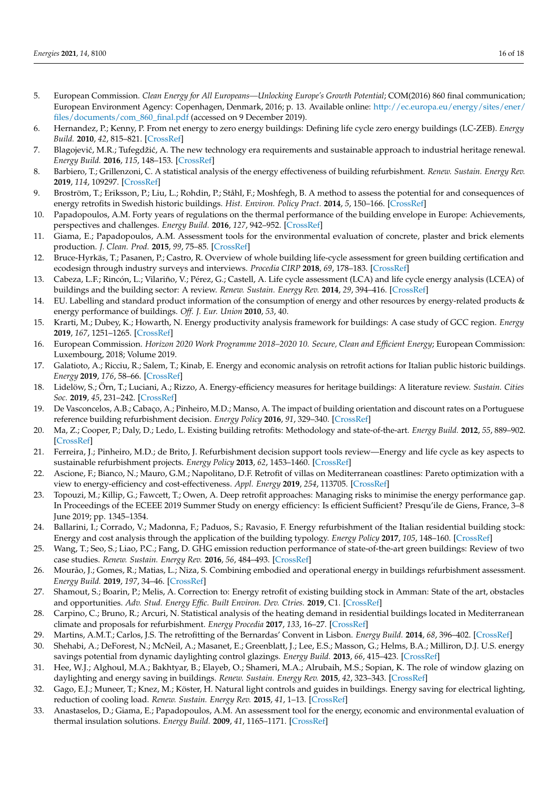- <span id="page-15-30"></span><span id="page-15-29"></span><span id="page-15-0"></span>5. European Commission. *Clean Energy for All Europeans—Unlocking Europe's Growth Potential*; COM(2016) 860 final communication; European Environment Agency: Copenhagen, Denmark, 2016; p. 13. Available online: [http://ec.europa.eu/energy/sites/ener/](http://ec.europa.eu/energy/sites/ener/files/documents/com_860_final.pdf) [files/documents/com\\_860\\_final.pdf](http://ec.europa.eu/energy/sites/ener/files/documents/com_860_final.pdf) (accessed on 9 December 2019).
- <span id="page-15-31"></span><span id="page-15-1"></span>6. Hernandez, P.; Kenny, P. From net energy to zero energy buildings: Defining life cycle zero energy buildings (LC-ZEB). *Energy Build.* **2010**, *42*, 815–821. [\[CrossRef\]](http://doi.org/10.1016/j.enbuild.2009.12.001)
- <span id="page-15-28"></span><span id="page-15-2"></span>7. Blagojević, M.R.; Tufegdžić, A. The new technology era requirements and sustainable approach to industrial heritage renewal. *Energy Build.* **2016**, *115*, 148–153. [\[CrossRef\]](http://doi.org/10.1016/j.enbuild.2015.07.062)
- <span id="page-15-3"></span>8. Barbiero, T.; Grillenzoni, C. A statistical analysis of the energy effectiveness of building refurbishment. *Renew. Sustain. Energy Rev.* **2019**, *114*, 109297. [\[CrossRef\]](http://doi.org/10.1016/j.rser.2019.109297)
- <span id="page-15-4"></span>9. Broström, T.; Eriksson, P.; Liu, L.; Rohdin, P.; Ståhl, F.; Moshfegh, B. A method to assess the potential for and consequences of energy retrofits in Swedish historic buildings. *Hist. Environ. Policy Pract.* **2014**, *5*, 150–166. [\[CrossRef\]](http://doi.org/10.1179/1756750514Z.00000000055)
- <span id="page-15-5"></span>10. Papadopoulos, A.M. Forty years of regulations on the thermal performance of the building envelope in Europe: Achievements, perspectives and challenges. *Energy Build.* **2016**, *127*, 942–952. [\[CrossRef\]](http://doi.org/10.1016/j.enbuild.2016.06.051)
- <span id="page-15-6"></span>11. Giama, E.; Papadopoulos, A.M. Assessment tools for the environmental evaluation of concrete, plaster and brick elements production. *J. Clean. Prod.* **2015**, *99*, 75–85. [\[CrossRef\]](http://doi.org/10.1016/j.jclepro.2015.03.006)
- <span id="page-15-7"></span>12. Bruce-Hyrkäs, T.; Pasanen, P.; Castro, R. Overview of whole building life-cycle assessment for green building certification and ecodesign through industry surveys and interviews. *Procedia CIRP* **2018**, *69*, 178–183. [\[CrossRef\]](http://doi.org/10.1016/j.procir.2017.11.127)
- <span id="page-15-8"></span>13. Cabeza, L.F.; Rincón, L.; Vilariño, V.; Pérez, G.; Castell, A. Life cycle assessment (LCA) and life cycle energy analysis (LCEA) of buildings and the building sector: A review. *Renew. Sustain. Energy Rev.* **2014**, *29*, 394–416. [\[CrossRef\]](http://doi.org/10.1016/j.rser.2013.08.037)
- <span id="page-15-9"></span>14. EU. Labelling and standard product information of the consumption of energy and other resources by energy-related products & energy performance of buildings. *Off. J. Eur. Union* **2010**, *53*, 40.
- <span id="page-15-10"></span>15. Krarti, M.; Dubey, K.; Howarth, N. Energy productivity analysis framework for buildings: A case study of GCC region. *Energy* **2019**, *167*, 1251–1265. [\[CrossRef\]](http://doi.org/10.1016/j.energy.2018.11.060)
- <span id="page-15-11"></span>16. European Commission. *Horizon 2020 Work Programme 2018–2020 10. Secure, Clean and Efficient Energy*; European Commission: Luxembourg, 2018; Volume 2019.
- <span id="page-15-25"></span><span id="page-15-12"></span>17. Galatioto, A.; Ricciu, R.; Salem, T.; Kinab, E. Energy and economic analysis on retrofit actions for Italian public historic buildings. *Energy* **2019**, *176*, 58–66. [\[CrossRef\]](http://doi.org/10.1016/j.energy.2019.03.167)
- <span id="page-15-26"></span><span id="page-15-13"></span>18. Lidelöw, S.; Örn, T.; Luciani, A.; Rizzo, A. Energy-efficiency measures for heritage buildings: A literature review. *Sustain. Cities Soc.* **2019**, *45*, 231–242. [\[CrossRef\]](http://doi.org/10.1016/j.scs.2018.09.029)
- <span id="page-15-27"></span><span id="page-15-14"></span>19. De Vasconcelos, A.B.; Cabaço, A.; Pinheiro, M.D.; Manso, A. The impact of building orientation and discount rates on a Portuguese reference building refurbishment decision. *Energy Policy* **2016**, *91*, 329–340. [\[CrossRef\]](http://doi.org/10.1016/j.enpol.2016.01.021)
- <span id="page-15-15"></span>20. Ma, Z.; Cooper, P.; Daly, D.; Ledo, L. Existing building retrofits: Methodology and state-of-the-art. *Energy Build.* **2012**, *55*, 889–902. [\[CrossRef\]](http://doi.org/10.1016/j.enbuild.2012.08.018)
- <span id="page-15-16"></span>21. Ferreira, J.; Pinheiro, M.D.; de Brito, J. Refurbishment decision support tools review—Energy and life cycle as key aspects to sustainable refurbishment projects. *Energy Policy* **2013**, *62*, 1453–1460. [\[CrossRef\]](http://doi.org/10.1016/j.enpol.2013.06.082)
- <span id="page-15-17"></span>22. Ascione, F.; Bianco, N.; Mauro, G.M.; Napolitano, D.F. Retrofit of villas on Mediterranean coastlines: Pareto optimization with a view to energy-efficiency and cost-effectiveness. *Appl. Energy* **2019**, *254*, 113705. [\[CrossRef\]](http://doi.org/10.1016/j.apenergy.2019.113705)
- <span id="page-15-18"></span>23. Topouzi, M.; Killip, G.; Fawcett, T.; Owen, A. Deep retrofit approaches: Managing risks to minimise the energy performance gap. In Proceedings of the ECEEE 2019 Summer Study on energy efficiency: Is efficient Sufficient? Presqu'ile de Giens, France, 3–8 June 2019; pp. 1345–1354.
- <span id="page-15-19"></span>24. Ballarini, I.; Corrado, V.; Madonna, F.; Paduos, S.; Ravasio, F. Energy refurbishment of the Italian residential building stock: Energy and cost analysis through the application of the building typology. *Energy Policy* **2017**, *105*, 148–160. [\[CrossRef\]](http://doi.org/10.1016/j.enpol.2017.02.026)
- <span id="page-15-20"></span>25. Wang, T.; Seo, S.; Liao, P.C.; Fang, D. GHG emission reduction performance of state-of-the-art green buildings: Review of two case studies. *Renew. Sustain. Energy Rev.* **2016**, *56*, 484–493. [\[CrossRef\]](http://doi.org/10.1016/j.rser.2015.11.037)
- <span id="page-15-21"></span>26. Mourão, J.; Gomes, R.; Matias, L.; Niza, S. Combining embodied and operational energy in buildings refurbishment assessment. *Energy Build.* **2019**, *197*, 34–46. [\[CrossRef\]](http://doi.org/10.1016/j.enbuild.2019.05.033)
- <span id="page-15-22"></span>27. Shamout, S.; Boarin, P.; Melis, A. Correction to: Energy retrofit of existing building stock in Amman: State of the art, obstacles and opportunities. *Adv. Stud. Energy Effic. Built Environ. Dev. Ctries.* **2019**, C1. [\[CrossRef\]](http://doi.org/10.1007/978-3-030-10856-4_19)
- <span id="page-15-23"></span>28. Carpino, C.; Bruno, R.; Arcuri, N. Statistical analysis of the heating demand in residential buildings located in Mediterranean climate and proposals for refurbishment. *Energy Procedia* **2017**, *133*, 16–27. [\[CrossRef\]](http://doi.org/10.1016/j.egypro.2017.09.365)
- <span id="page-15-24"></span>29. Martins, A.M.T.; Carlos, J.S. The retrofitting of the Bernardas' Convent in Lisbon. *Energy Build.* **2014**, *68*, 396–402. [\[CrossRef\]](http://doi.org/10.1016/j.enbuild.2013.07.087)
- <span id="page-15-32"></span>30. Shehabi, A.; DeForest, N.; McNeil, A.; Masanet, E.; Greenblatt, J.; Lee, E.S.; Masson, G.; Helms, B.A.; Milliron, D.J. U.S. energy savings potential from dynamic daylighting control glazings. *Energy Build.* **2013**, *66*, 415–423. [\[CrossRef\]](http://doi.org/10.1016/j.enbuild.2013.07.013)
- <span id="page-15-33"></span>31. Hee, W.J.; Alghoul, M.A.; Bakhtyar, B.; Elayeb, O.; Shameri, M.A.; Alrubaih, M.S.; Sopian, K. The role of window glazing on daylighting and energy saving in buildings. *Renew. Sustain. Energy Rev.* **2015**, *42*, 323–343. [\[CrossRef\]](http://doi.org/10.1016/j.rser.2014.09.020)
- <span id="page-15-34"></span>32. Gago, E.J.; Muneer, T.; Knez, M.; Köster, H. Natural light controls and guides in buildings. Energy saving for electrical lighting, reduction of cooling load. *Renew. Sustain. Energy Rev.* **2015**, *41*, 1–13. [\[CrossRef\]](http://doi.org/10.1016/j.rser.2014.08.002)
- <span id="page-15-35"></span>33. Anastaselos, D.; Giama, E.; Papadopoulos, A.M. An assessment tool for the energy, economic and environmental evaluation of thermal insulation solutions. *Energy Build.* **2009**, *41*, 1165–1171. [\[CrossRef\]](http://doi.org/10.1016/j.enbuild.2009.06.003)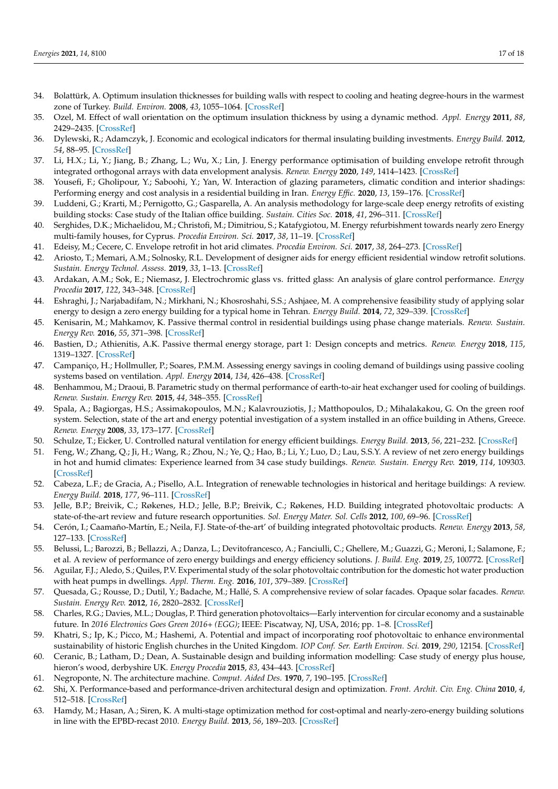- 34. Bolattürk, A. Optimum insulation thicknesses for building walls with respect to cooling and heating degree-hours in the warmest zone of Turkey. *Build. Environ.* **2008**, *43*, 1055–1064. [\[CrossRef\]](http://doi.org/10.1016/j.buildenv.2007.02.014)
- <span id="page-16-0"></span>35. Ozel, M. Effect of wall orientation on the optimum insulation thickness by using a dynamic method. *Appl. Energy* **2011**, *88*, 2429–2435. [\[CrossRef\]](http://doi.org/10.1016/j.apenergy.2011.01.049)
- <span id="page-16-1"></span>36. Dylewski, R.; Adamczyk, J. Economic and ecological indicators for thermal insulating building investments. *Energy Build.* **2012**, *54*, 88–95. [\[CrossRef\]](http://doi.org/10.1016/j.enbuild.2012.07.021)
- <span id="page-16-2"></span>37. Li, H.X.; Li, Y.; Jiang, B.; Zhang, L.; Wu, X.; Lin, J. Energy performance optimisation of building envelope retrofit through integrated orthogonal arrays with data envelopment analysis. *Renew. Energy* **2020**, *149*, 1414–1423. [\[CrossRef\]](http://doi.org/10.1016/j.renene.2019.10.143)
- <span id="page-16-3"></span>38. Yousefi, F.; Gholipour, Y.; Saboohi, Y.; Yan, W. Interaction of glazing parameters, climatic condition and interior shadings: Performing energy and cost analysis in a residential building in Iran. *Energy Effic.* **2020**, *13*, 159–176. [\[CrossRef\]](http://doi.org/10.1007/s12053-019-09831-w)
- <span id="page-16-4"></span>39. Luddeni, G.; Krarti, M.; Pernigotto, G.; Gasparella, A. An analysis methodology for large-scale deep energy retrofits of existing building stocks: Case study of the Italian office building. *Sustain. Cities Soc.* **2018**, *41*, 296–311. [\[CrossRef\]](http://doi.org/10.1016/j.scs.2018.05.038)
- <span id="page-16-5"></span>40. Serghides, D.K.; Michaelidou, M.; Christofi, M.; Dimitriou, S.; Katafygiotou, M. Energy refurbishment towards nearly zero Energy multi-family houses, for Cyprus. *Procedia Environ. Sci.* **2017**, *38*, 11–19. [\[CrossRef\]](http://doi.org/10.1016/j.proenv.2017.03.068)
- <span id="page-16-6"></span>41. Edeisy, M.; Cecere, C. Envelope retrofit in hot arid climates. *Procedia Environ. Sci.* **2017**, *38*, 264–273. [\[CrossRef\]](http://doi.org/10.1016/j.proenv.2017.03.075)
- <span id="page-16-7"></span>42. Ariosto, T.; Memari, A.M.; Solnosky, R.L. Development of designer aids for energy efficient residential window retrofit solutions. *Sustain. Energy Technol. Assess.* **2019**, *33*, 1–13. [\[CrossRef\]](http://doi.org/10.1016/j.seta.2019.02.007)
- <span id="page-16-8"></span>43. Ardakan, A.M.; Sok, E.; Niemasz, J. Electrochromic glass vs. fritted glass: An analysis of glare control performance. *Energy Procedia* **2017**, *122*, 343–348. [\[CrossRef\]](http://doi.org/10.1016/j.egypro.2017.07.334)
- <span id="page-16-9"></span>44. Eshraghi, J.; Narjabadifam, N.; Mirkhani, N.; Khosroshahi, S.S.; Ashjaee, M. A comprehensive feasibility study of applying solar energy to design a zero energy building for a typical home in Tehran. *Energy Build.* **2014**, *72*, 329–339. [\[CrossRef\]](http://doi.org/10.1016/j.enbuild.2014.01.001)
- <span id="page-16-10"></span>45. Kenisarin, M.; Mahkamov, K. Passive thermal control in residential buildings using phase change materials. *Renew. Sustain. Energy Rev.* **2016**, *55*, 371–398. [\[CrossRef\]](http://doi.org/10.1016/j.rser.2015.10.128)
- <span id="page-16-11"></span>46. Bastien, D.; Athienitis, A.K. Passive thermal energy storage, part 1: Design concepts and metrics. *Renew. Energy* **2018**, *115*, 1319–1327. [\[CrossRef\]](http://doi.org/10.1016/j.renene.2016.04.011)
- <span id="page-16-12"></span>47. Campaniço, H.; Hollmuller, P.; Soares, P.M.M. Assessing energy savings in cooling demand of buildings using passive cooling systems based on ventilation. *Appl. Energy* **2014**, *134*, 426–438. [\[CrossRef\]](http://doi.org/10.1016/j.apenergy.2014.08.053)
- <span id="page-16-13"></span>48. Benhammou, M.; Draoui, B. Parametric study on thermal performance of earth-to-air heat exchanger used for cooling of buildings. *Renew. Sustain. Energy Rev.* **2015**, *44*, 348–355. [\[CrossRef\]](http://doi.org/10.1016/j.rser.2014.12.030)
- <span id="page-16-14"></span>49. Spala, A.; Bagiorgas, H.S.; Assimakopoulos, M.N.; Kalavrouziotis, J.; Matthopoulos, D.; Mihalakakou, G. On the green roof system. Selection, state of the art and energy potential investigation of a system installed in an office building in Athens, Greece. *Renew. Energy* **2008**, *33*, 173–177. [\[CrossRef\]](http://doi.org/10.1016/j.renene.2007.03.022)
- <span id="page-16-15"></span>50. Schulze, T.; Eicker, U. Controlled natural ventilation for energy efficient buildings. *Energy Build.* **2013**, *56*, 221–232. [\[CrossRef\]](http://doi.org/10.1016/j.enbuild.2012.07.044)
- <span id="page-16-16"></span>51. Feng, W.; Zhang, Q.; Ji, H.; Wang, R.; Zhou, N.; Ye, Q.; Hao, B.; Li, Y.; Luo, D.; Lau, S.S.Y. A review of net zero energy buildings in hot and humid climates: Experience learned from 34 case study buildings. *Renew. Sustain. Energy Rev.* **2019**, *114*, 109303. [\[CrossRef\]](http://doi.org/10.1016/j.rser.2019.109303)
- <span id="page-16-17"></span>52. Cabeza, L.F.; de Gracia, A.; Pisello, A.L. Integration of renewable technologies in historical and heritage buildings: A review. *Energy Build.* **2018**, *177*, 96–111. [\[CrossRef\]](http://doi.org/10.1016/j.enbuild.2018.07.058)
- <span id="page-16-18"></span>53. Jelle, B.P.; Breivik, C.; Røkenes, H.D.; Jelle, B.P.; Breivik, C.; Røkenes, H.D. Building integrated photovoltaic products: A state-of-the-art review and future research opportunities. *Sol. Energy Mater. Sol. Cells* **2012**, *100*, 69–96. [\[CrossRef\]](http://doi.org/10.1016/j.solmat.2011.12.016)
- <span id="page-16-19"></span>54. Cerón, I.; Caamaño-Martín, E.; Neila, F.J. State-of-the-art' of building integrated photovoltaic products. *Renew. Energy* **2013**, *58*, 127–133. [\[CrossRef\]](http://doi.org/10.1016/j.renene.2013.02.013)
- <span id="page-16-20"></span>55. Belussi, L.; Barozzi, B.; Bellazzi, A.; Danza, L.; Devitofrancesco, A.; Fanciulli, C.; Ghellere, M.; Guazzi, G.; Meroni, I.; Salamone, F.; et al. A review of performance of zero energy buildings and energy efficiency solutions. *J. Build. Eng.* **2019**, *25*, 100772. [\[CrossRef\]](http://doi.org/10.1016/j.jobe.2019.100772)
- <span id="page-16-21"></span>56. Aguilar, F.J.; Aledo, S.; Quiles, P.V. Experimental study of the solar photovoltaic contribution for the domestic hot water production with heat pumps in dwellings. *Appl. Therm. Eng.* **2016**, *101*, 379–389. [\[CrossRef\]](http://doi.org/10.1016/j.applthermaleng.2016.01.127)
- <span id="page-16-22"></span>57. Quesada, G.; Rousse, D.; Dutil, Y.; Badache, M.; Hallé, S. A comprehensive review of solar facades. Opaque solar facades. *Renew. Sustain. Energy Rev.* **2012**, *16*, 2820–2832. [\[CrossRef\]](http://doi.org/10.1016/j.rser.2012.01.078)
- <span id="page-16-23"></span>58. Charles, R.G.; Davies, M.L.; Douglas, P. Third generation photovoltaics—Early intervention for circular economy and a sustainable future. In *2016 Electronics Goes Green 2016+ (EGG)*; IEEE: Piscatway, NJ, USA, 2016; pp. 1–8. [\[CrossRef\]](http://doi.org/10.1109/EGG.2016.7829820)
- <span id="page-16-24"></span>59. Khatri, S.; Ip, K.; Picco, M.; Hashemi, A. Potential and impact of incorporating roof photovoltaic to enhance environmental sustainability of historic English churches in the United Kingdom. *IOP Conf. Ser. Earth Environ. Sci.* **2019**, *290*, 12154. [\[CrossRef\]](http://doi.org/10.1088/1755-1315/290/1/012154)
- <span id="page-16-25"></span>60. Ceranic, B.; Latham, D.; Dean, A. Sustainable design and building information modelling: Case study of energy plus house, hieron's wood, derbyshire UK. *Energy Procedia* **2015**, *83*, 434–443. [\[CrossRef\]](http://doi.org/10.1016/j.egypro.2015.12.163)
- <span id="page-16-26"></span>61. Negroponte, N. The architecture machine. *Comput. Aided Des.* **1970**, *7*, 190–195. [\[CrossRef\]](http://doi.org/10.1016/0010-4485(75)90009-3)
- <span id="page-16-27"></span>62. Shi, X. Performance-based and performance-driven architectural design and optimization. *Front. Archit. Civ. Eng. China* **2010**, *4*, 512–518. [\[CrossRef\]](http://doi.org/10.1007/s11709-010-0090-6)
- <span id="page-16-28"></span>63. Hamdy, M.; Hasan, A.; Siren, K. A multi-stage optimization method for cost-optimal and nearly-zero-energy building solutions in line with the EPBD-recast 2010. *Energy Build.* **2013**, *56*, 189–203. [\[CrossRef\]](http://doi.org/10.1016/j.enbuild.2012.08.023)